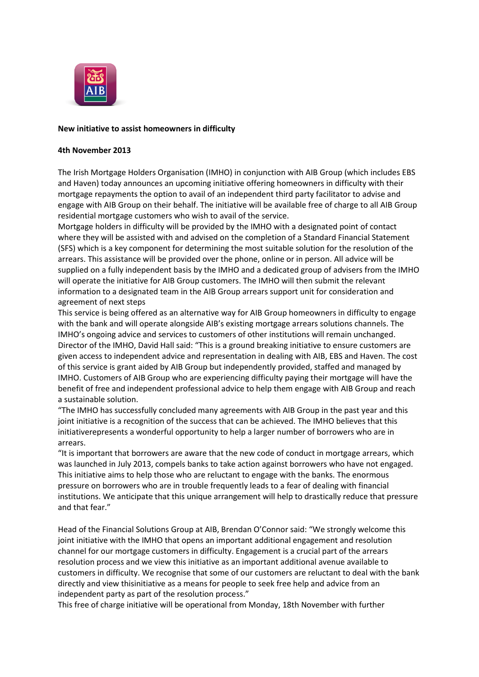

## **New initiative to assist homeowners in difficulty**

## **4th November 2013**

The Irish Mortgage Holders Organisation (IMHO) in conjunction with AIB Group (which includes EBS and Haven) today announces an upcoming initiative offering homeowners in difficulty with their mortgage repayments the option to avail of an independent third party facilitator to advise and engage with AIB Group on their behalf. The initiative will be available free of charge to all AIB Group residential mortgage customers who wish to avail of the service.

Mortgage holders in difficulty will be provided by the IMHO with a designated point of contact where they will be assisted with and advised on the completion of a Standard Financial Statement (SFS) which is a key component for determining the most suitable solution for the resolution of the arrears. This assistance will be provided over the phone, online or in person. All advice will be supplied on a fully independent basis by the IMHO and a dedicated group of advisers from the IMHO will operate the initiative for AIB Group customers. The IMHO will then submit the relevant information to a designated team in the AIB Group arrears support unit for consideration and agreement of next steps

This service is being offered as an alternative way for AIB Group homeowners in difficulty to engage with the bank and will operate alongside AIB's existing mortgage arrears solutions channels. The IMHO's ongoing advice and services to customers of other institutions will remain unchanged. Director of the IMHO, David Hall said: "This is a ground breaking initiative to ensure customers are given access to independent advice and representation in dealing with AIB, EBS and Haven. The cost of this service is grant aided by AIB Group but independently provided, staffed and managed by IMHO. Customers of AIB Group who are experiencing difficulty paying their mortgage will have the benefit of free and independent professional advice to help them engage with AIB Group and reach a sustainable solution.

"The IMHO has successfully concluded many agreements with AIB Group in the past year and this joint initiative is a recognition of the success that can be achieved. The IMHO believes that this initiativerepresents a wonderful opportunity to help a larger number of borrowers who are in arrears.

"It is important that borrowers are aware that the new code of conduct in mortgage arrears, which was launched in July 2013, compels banks to take action against borrowers who have not engaged. This initiative aims to help those who are reluctant to engage with the banks. The enormous pressure on borrowers who are in trouble frequently leads to a fear of dealing with financial institutions. We anticipate that this unique arrangement will help to drastically reduce that pressure and that fear."

Head of the Financial Solutions Group at AIB, Brendan O'Connor said: "We strongly welcome this joint initiative with the IMHO that opens an important additional engagement and resolution channel for our mortgage customers in difficulty. Engagement is a crucial part of the arrears resolution process and we view this initiative as an important additional avenue available to customers in difficulty. We recognise that some of our customers are reluctant to deal with the bank directly and view thisinitiative as a means for people to seek free help and advice from an independent party as part of the resolution process."

This free of charge initiative will be operational from Monday, 18th November with further